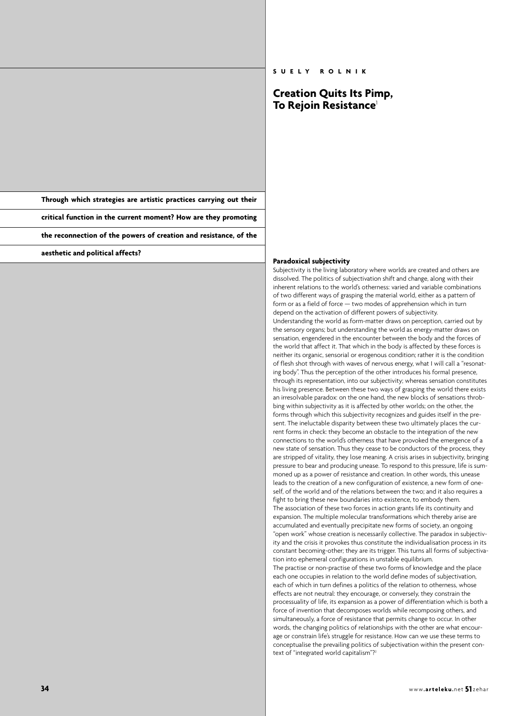**Through which strategies are artistic practices carrying out their**

**critical function in the current moment? How are they promoting**

**the reconnection of the powers of creation and resistance, of the**

**aesthetic and political affects?**

# **SUELY ROLNIK**

# **Creation Quits Its Pimp, To Rejoin Resistance**<sup>1</sup>

## **Paradoxical subjectivity**

Subjectivity is the living laboratory where worlds are created and others are dissolved. The politics of subjectivation shift and change, along with their inherent relations to the world's otherness: varied and variable combinations of two different ways of grasping the material world, either as a pattern of form or as a field of force — two modes of apprehension which in turn depend on the activation of different powers of subjectivity. Understanding the world as form-matter draws on perception, carried out by the sensory organs; but understanding the world as energy-matter draws on sensation, engendered in the encounter between the body and the forces of the world that affect it. That which in the body is affected by these forces is neither its organic, sensorial or erogenous condition; rather it is the condition of flesh shot through with waves of nervous energy, what I will call a "resonating body". Thus the perception of the other introduces his formal presence, through its representation, into our subjectivity; whereas sensation constitutes his living presence. Between these two ways of grasping the world there exists an irresolvable paradox: on the one hand, the new blocks of sensations throbbing within subjectivity as it is affected by other worlds; on the other, the forms through which this subjectivity recognizes and guides itself in the present. The ineluctable disparity between these two ultimately places the current forms in check: they become an obstacle to the integration of the new connections to the world's otherness that have provoked the emergence of a new state of sensation. Thus they cease to be conductors of the process, they are stripped of vitality, they lose meaning. A crisis arises in subjectivity, bringing pressure to bear and producing unease. To respond to this pressure, life is summoned up as a power of resistance and creation. In other words, this unease leads to the creation of a new configuration of existence, a new form of oneself, of the world and of the relations between the two; and it also requires a fight to bring these new boundaries into existence, to embody them. The association of these two forces in action grants life its continuity and expansion. The multiple molecular transformations which thereby arise are accumulated and eventually precipitate new forms of society, an ongoing "open work" whose creation is necessarily collective. The paradox in subjectivity and the crisis it provokes thus constitute the individualisation process in its constant becoming-other; they are its trigger. This turns all forms of subjectivation into ephemeral configurations in unstable equilibrium. The practise or non-practise of these two forms of knowledge and the place each one occupies in relation to the world define modes of subjectivation, each of which in turn defines a politics of the relation to otherness, whose effects are not neutral: they encourage, or conversely, they constrain the processuality of life, its expansion as a power of differentiation which is both a force of invention that decomposes worlds while recomposing others, and simultaneously, a force of resistance that permits change to occur. In other words, the changing politics of relationships with the other are what encourage or constrain life's struggle for resistance. How can we use these terms to conceptualise the prevailing politics of subjectivation within the present context of "integrated world capitalism"?<sup>2</sup>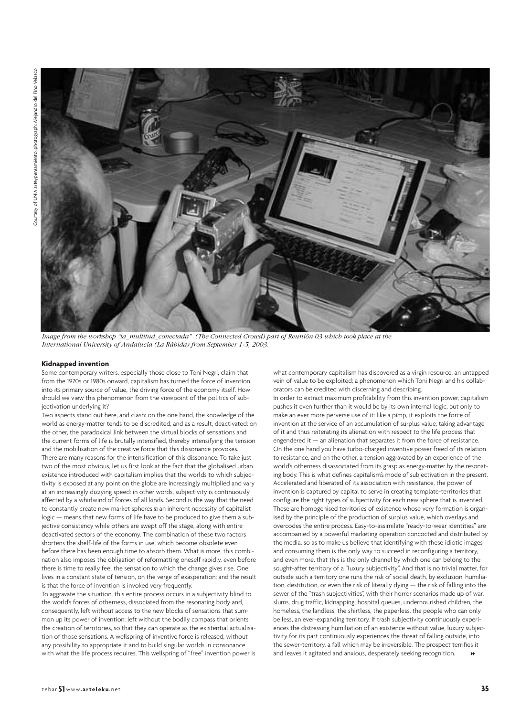

*Image from the workshop "la\_multitud\_conectada" (The Connected Crowd) part of Reunión 03 which took place at the International University of Andalucía (La Rábida) from September 1-5, 2003.*

### **Kidnapped invention**

Some contemporary writers, especially those close to Toni Negri, claim that from the 1970s or 1980s onward, capitalism has turned the force of invention into its primary source of value, the driving force of the economy itself. How should we view this phenomenon from the viewpoint of the politics of subjectivation underlying it?

Two aspects stand out here, and clash: on the one hand, the knowledge of the world as energy-matter tends to be discredited, and as a result, deactivated; on the other, the paradoxical link between the virtual blocks of sensations and the current forms of life is brutally intensified, thereby intensifying the tension and the mobilisation of the creative force that this dissonance provokes. There are many reasons for the intensification of this dissonance. To take just two of the most obvious, let us first look at the fact that the globalised urban existence introduced with capitalism implies that the worlds to which subjectivity is exposed at any point on the globe are increasingly multiplied and vary at an increasingly dizzying speed: in other words, subjectivity is continuously affected by a whirlwind of forces of all kinds. Second is the way that the need to constantly create new market spheres  $\overline{E}$  an inherent necessity of capitalist logic — means that new forms of life have to be produced to give them a subjective consistency while others are swept off the stage, along with entire deactivated sectors of the economy. The combination of these two factors shortens the shelf-life of the forms in use, which become obsolete even before there has been enough time to absorb them. What is more, this combination also imposes the obligation of reformatting oneself rapidly, even before there is time to really feel the sensation to which the change gives rise. One lives in a constant state of tension, on the verge of exasperation; and the result is that the force of invention is invoked very frequently.

To aggravate the situation, this entire process occurs in a subjectivity blind to the world's forces of otherness, dissociated from the resonating body and, consequently, left without access to the new blocks of sensations that summon up its power of invention; left without the bodily compass that orients the creation of territories, so that they can operate as the existential actualisation of those sensations. A wellspring of inventive force is released, without any possibility to appropriate it and to build singular worlds in consonance with what the life process requires. This wellspring of "free" invention power is

what contemporary capitalism has discovered as a virgin resource, an untapped vein of value to be exploited; a phenomenon which Toni Negri and his collaborators can be credited with discerning and describing.

In order to extract maximum profitability from this invention power, capitalism pushes it even further than it would be by its own internal logic, but only to make an ever more perverse use of it: like a pimp, it exploits the force of invention at the service of an accumulation of surplus value, taking advantage of it and thus reiterating its alienation with respect to the life process that engendered it — an alienation that separates it from the force of resistance. On the one hand you have turbo-charged inventive power freed of its relation to resistance, and on the other, a tension aggravated by an experience of the world's otherness disassociated from its grasp as energy-matter by the resonating body. This is what defines capitalism's mode of subjectivation in the present. Accelerated and liberated of its association with resistance, the power of invention is captured by capital to serve in creating template-territories that configure the right types of subjectivity for each new sphere that is invented. These are homogenised territories of existence whose very formation is organised by the principle of the production of surplus value, which overlays and overcodes the entire process. Easy-to-assimilate "ready-to-wear identities" are accompanied by a powerful marketing operation concocted and distributed by the media, so as to make us believe that identifying with these idiotic images and consuming them is the only way to succeed in reconfiguring a territory, and even more, that this is the only channel by which one can belong to the sought-after territory of a "luxury subjectivity". And that is no trivial matter, for outside such a territory one runs the risk of social death, by exclusion, humiliation, destitution, or even the risk of literally dying — the risk of falling into the sewer of the "trash subjectivities", with their horror scenarios made up of war, slums, drug traffic, kidnapping, hospital queues, undernourished children, the homeless, the landless, the shirtless, the paperless, the people who can only be less, an ever-expanding territory. If trash subjectivity continuously experiences the distressing humiliation of an existence without value, luxury subjectivity for its part continuously experiences the threat of falling outside, into the sewer-territory, a fall which may be irreversible. The prospect terrifies it and leaves it agitated and anxious, desperately seeking recognition.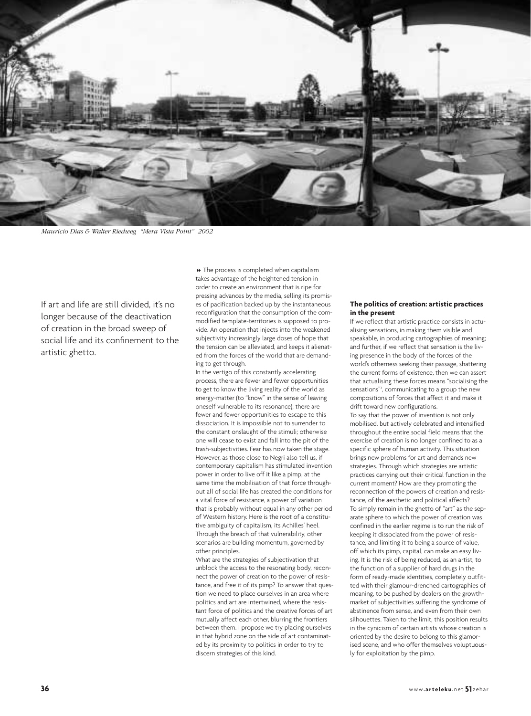

*Mauricio Dias & Walter Riedweg "Mera Vista Point" 2002*

If art and life are still divided, it's no longer because of the deactivation of creation in the broad sweep of social life and its confinement to the artistic ghetto.

 $\rightarrow$  The process is completed when capitalism takes advantage of the heightened tension in order to create an environment that is ripe for pressing advances by the media, selling its promises of pacification backed up by the instantaneous reconfiguration that the consumption of the commodified template-territories is supposed to provide. An operation that injects into the weakened subjectivity increasingly large doses of hope that the tension can be alleviated, and keeps it alienated from the forces of the world that are demanding to get through.

In the vertigo of this constantly accelerating process, there are fewer and fewer opportunities to get to know the living reality of the world as energy-matter (to "know" in the sense of leaving oneself vulnerable to its resonance); there are fewer and fewer opportunities to escape to this dissociation. It is impossible not to surrender to the constant onslaught of the stimuli; otherwise one will cease to exist and fall into the pit of the trash-subjectivities. Fear has now taken the stage. However, as those close to Negri also tell us, if contemporary capitalism has stimulated invention power in order to live off it like a pimp, at the same time the mobilisation of that force throughout all of social life has created the conditions for a vital force of resistance, a power of variation that is probably without equal in any other period of Western history. Here is the root of a constitutive ambiguity of capitalism, its Achilles' heel. Through the breach of that vulnerability, other scenarios are building momentum, governed by other principles.

What are the strategies of subjectivation that unblock the access to the resonating body, reconnect the power of creation to the power of resistance, and free it of its pimp? To answer that question we need to place ourselves in an area where politics and art are intertwined, where the resistant force of politics and the creative forces of art mutually affect each other, blurring the frontiers between them. I propose we try placing ourselves in that hybrid zone on the side of art contaminated by its proximity to politics in order to try to discern strategies of this kind.

### **The politics of creation: artistic practices in the present**

If we reflect that artistic practice consists in actualising sensations, in making them visible and speakable, in producing cartographies of meaning; and further, if we reflect that sensation is the living presence in the body of the forces of the world's otherness seeking their passage, shattering the current forms of existence, then we can assert that actualising these forces means "socialising the sensations"3 , communicating to a group the new compositions of forces that affect it and make it drift toward new configurations.

To say that the power of invention is not only mobilised, but actively celebrated and intensified throughout the entire social field means that the exercise of creation is no longer confined to as a specific sphere of human activity. This situation brings new problems for art and demands new strategies. Through which strategies are artistic practices carrying out their critical function in the current moment? How are they promoting the reconnection of the powers of creation and resistance, of the aesthetic and political affects? To simply remain in the ghetto of "art" as the separate sphere to which the power of creation was confined in the earlier regime is to run the risk of keeping it dissociated from the power of resistance, and limiting it to being a source of value, off which its pimp, capital, can make an easy living. It is the risk of being reduced, as an artist, to the function of a supplier of hard drugs in the form of ready-made identities, completely outfitted with their glamour-drenched cartographies of meaning, to be pushed by dealers on the growthmarket of subjectivities suffering the syndrome of abstinence from sense, and even from their own silhouettes. Taken to the limit, this position results in the cynicism of certain artists whose creation is oriented by the desire to belong to this glamorised scene, and who offer themselves voluptuously for exploitation by the pimp.